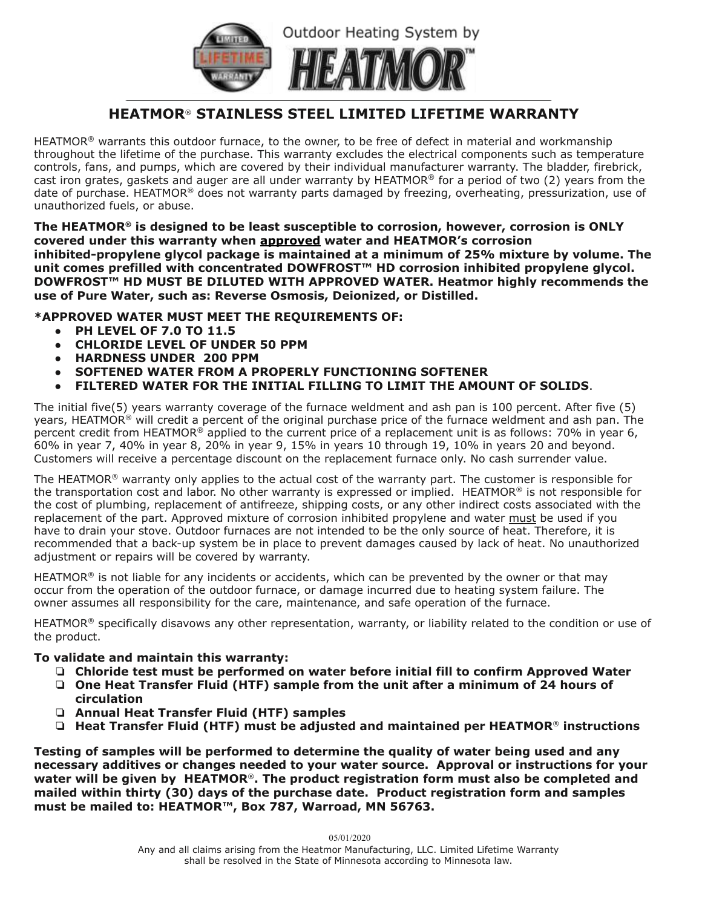

## **HEATMOR**® **STAINLESS STEEL LIMITED LIFETIME WARRANTY**

HEATMOR<sup>®</sup> warrants this outdoor furnace, to the owner, to be free of defect in material and workmanship throughout the lifetime of the purchase. This warranty excludes the electrical components such as temperature controls, fans, and pumps, which are covered by their individual manufacturer warranty. The bladder, firebrick, cast iron grates, gaskets and auger are all under warranty by HEATMOR® for a period of two (2) years from the date of purchase. HEATMOR® does not warranty parts damaged by freezing, overheating, pressurization, use of unauthorized fuels, or abuse.

**The HEATMOR® is designed to be least susceptible to corrosion, however, corrosion is ONLY covered under this warranty when approved water and HEATMOR's corrosion inhibited-propylene glycol package is maintained at a minimum of 25% mixture by volume. The unit comes prefilled with concentrated DOWFROST™ HD corrosion inhibited propylene glycol. DOWFROST™ HD MUST BE DILUTED WITH APPROVED WATER. Heatmor highly recommends the use of Pure Water, such as: Reverse Osmosis, Deionized, or Distilled.**

### **\*APPROVED WATER MUST MEET THE REQUIREMENTS OF:**

- **● PH LEVEL OF 7.0 TO 11.5**
- **● CHLORIDE LEVEL OF UNDER 50 PPM**
- **● HARDNESS UNDER 200 PPM**
- **SOFTENED WATER FROM A PROPERLY FUNCTIONING SOFTENER**
- **FILTERED WATER FOR THE INITIAL FILLING TO LIMIT THE AMOUNT OF SOLIDS**.

The initial five(5) years warranty coverage of the furnace weldment and ash pan is 100 percent. After five (5) years, HEATMOR® will credit a percent of the original purchase price of the furnace weldment and ash pan. The percent credit from HEATMOR® applied to the current price of a replacement unit is as follows: 70% in year 6, 60% in year 7, 40% in year 8, 20% in year 9, 15% in years 10 through 19, 10% in years 20 and beyond. Customers will receive a percentage discount on the replacement furnace only. No cash surrender value.

The HEATMOR<sup>®</sup> warranty only applies to the actual cost of the warranty part. The customer is responsible for the transportation cost and labor. No other warranty is expressed or implied. HEATMOR® is not responsible for the cost of plumbing, replacement of antifreeze, shipping costs, or any other indirect costs associated with the replacement of the part. Approved mixture of corrosion inhibited propylene and water must be used if you have to drain your stove. Outdoor furnaces are not intended to be the only source of heat. Therefore, it is recommended that a back-up system be in place to prevent damages caused by lack of heat. No unauthorized adjustment or repairs will be covered by warranty.

HEATMOR<sup>®</sup> is not liable for any incidents or accidents, which can be prevented by the owner or that may occur from the operation of the outdoor furnace, or damage incurred due to heating system failure. The owner assumes all responsibility for the care, maintenance, and safe operation of the furnace.

HEATMOR<sup>®</sup> specifically disavows any other representation, warranty, or liability related to the condition or use of the product.

### **To validate and maintain this warranty:**

- ❏ **Chloride test must be performed on water before initial fill to confirm Approved Water**
- ❏ **One Heat Transfer Fluid (HTF) sample from the unit after a minimum of 24 hours of circulation**
- ❏ **Annual Heat Transfer Fluid (HTF) samples**
- ❏ **Heat Transfer Fluid (HTF) must be adjusted and maintained per HEATMOR**® **instructions**

**Testing of samples will be performed to determine the quality of water being used and any necessary additives or changes needed to your water source. Approval or instructions for your water will be given by HEATMOR**®**. The product registration form must also be completed and mailed within thirty (30) days of the purchase date. Product registration form and samples must be mailed to: HEATMOR™, Box 787, Warroad, MN 56763.**

05/01/2020